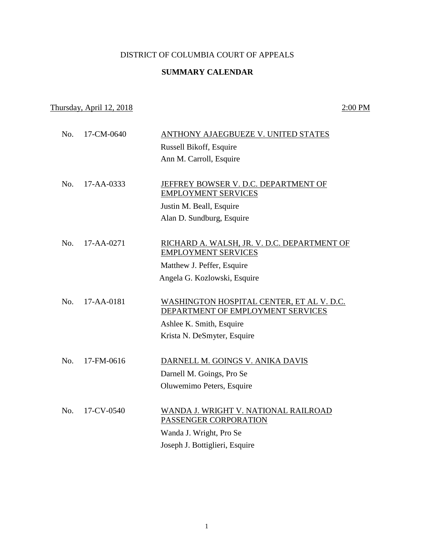## DISTRICT OF COLUMBIA COURT OF APPEALS

## **SUMMARY CALENDAR**

## Thursday, April 12, 2018 2:00 PM

| No. | 17-CM-0640 | ANTHONY AJAEGBUEZE V. UNITED STATES                                            |
|-----|------------|--------------------------------------------------------------------------------|
|     |            | Russell Bikoff, Esquire                                                        |
|     |            | Ann M. Carroll, Esquire                                                        |
|     |            |                                                                                |
| No. | 17-AA-0333 | JEFFREY BOWSER V. D.C. DEPARTMENT OF                                           |
|     |            | <b>EMPLOYMENT SERVICES</b>                                                     |
|     |            | Justin M. Beall, Esquire                                                       |
|     |            | Alan D. Sundburg, Esquire                                                      |
|     |            |                                                                                |
| No. | 17-AA-0271 | RICHARD A. WALSH, JR. V. D.C. DEPARTMENT OF                                    |
|     |            | <b>EMPLOYMENT SERVICES</b>                                                     |
|     |            | Matthew J. Peffer, Esquire                                                     |
|     |            | Angela G. Kozlowski, Esquire                                                   |
|     |            |                                                                                |
| No. | 17-AA-0181 | WASHINGTON HOSPITAL CENTER, ET AL V. D.C.<br>DEPARTMENT OF EMPLOYMENT SERVICES |
|     |            | Ashlee K. Smith, Esquire                                                       |
|     |            | Krista N. DeSmyter, Esquire                                                    |
|     |            |                                                                                |
| No. | 17-FM-0616 | DARNELL M. GOINGS V. ANIKA DAVIS                                               |
|     |            | Darnell M. Goings, Pro Se                                                      |
|     |            | Oluwemimo Peters, Esquire                                                      |
|     |            |                                                                                |
| No. | 17-CV-0540 | WANDA J. WRIGHT V. NATIONAL RAILROAD                                           |
|     |            | PASSENGER CORPORATION                                                          |
|     |            | Wanda J. Wright, Pro Se                                                        |
|     |            | Joseph J. Bottiglieri, Esquire                                                 |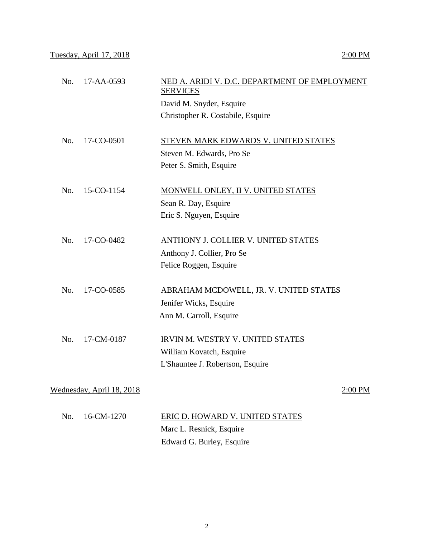| No. | 17-AA-0593                | NED A. ARIDI V. D.C. DEPARTMENT OF EMPLOYMENT<br><b>SERVICES</b> |           |
|-----|---------------------------|------------------------------------------------------------------|-----------|
|     |                           | David M. Snyder, Esquire                                         |           |
|     |                           | Christopher R. Costabile, Esquire                                |           |
| No. | 17-CO-0501                | STEVEN MARK EDWARDS V. UNITED STATES                             |           |
|     |                           | Steven M. Edwards, Pro Se                                        |           |
|     |                           | Peter S. Smith, Esquire                                          |           |
|     |                           |                                                                  |           |
| No. | 15-CO-1154                | MONWELL ONLEY, II V. UNITED STATES                               |           |
|     |                           | Sean R. Day, Esquire                                             |           |
|     |                           | Eric S. Nguyen, Esquire                                          |           |
| No. | 17-CO-0482                | ANTHONY J. COLLIER V. UNITED STATES                              |           |
|     |                           | Anthony J. Collier, Pro Se                                       |           |
|     |                           | Felice Roggen, Esquire                                           |           |
| No. | 17-CO-0585                | ABRAHAM MCDOWELL, JR. V. UNITED STATES                           |           |
|     |                           | Jenifer Wicks, Esquire                                           |           |
|     |                           | Ann M. Carroll, Esquire                                          |           |
| No. | 17-CM-0187                | <b>IRVIN M. WESTRY V. UNITED STATES</b>                          |           |
|     |                           |                                                                  |           |
|     |                           | William Kovatch, Esquire                                         |           |
|     |                           | L'Shauntee J. Robertson, Esquire                                 |           |
|     | Wednesday, April 18, 2018 |                                                                  | $2:00$ PM |
|     |                           |                                                                  |           |

 No. 16-CM-1270 ERIC D. HOWARD V. UNITED STATES Marc L. Resnick, Esquire Edward G. Burley, Esquire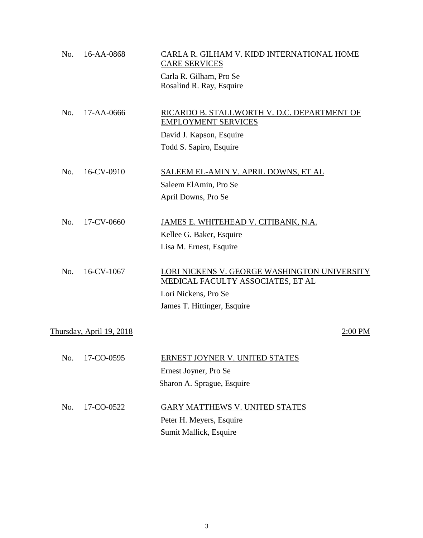| No. | 16-AA-0868               | CARLA R. GILHAM V. KIDD INTERNATIONAL HOME<br><b>CARE SERVICES</b> |
|-----|--------------------------|--------------------------------------------------------------------|
|     |                          | Carla R. Gilham, Pro Se<br>Rosalind R. Ray, Esquire                |
|     |                          |                                                                    |
| No. | 17-AA-0666               | RICARDO B. STALLWORTH V. D.C. DEPARTMENT OF                        |
|     |                          | <b>EMPLOYMENT SERVICES</b>                                         |
|     |                          | David J. Kapson, Esquire                                           |
|     |                          | Todd S. Sapiro, Esquire                                            |
| No. | 16-CV-0910               | SALEEM EL-AMIN V. APRIL DOWNS, ET AL                               |
|     |                          | Saleem ElAmin, Pro Se                                              |
|     |                          | April Downs, Pro Se                                                |
| No. | 17-CV-0660               | JAMES E. WHITEHEAD V. CITIBANK, N.A.                               |
|     |                          | Kellee G. Baker, Esquire                                           |
|     |                          | Lisa M. Ernest, Esquire                                            |
|     |                          |                                                                    |
| No. | 16-CV-1067               | LORI NICKENS V. GEORGE WASHINGTON UNIVERSITY                       |
|     |                          | <b>MEDICAL FACULTY ASSOCIATES, ET AL</b>                           |
|     |                          | Lori Nickens, Pro Se                                               |
|     |                          | James T. Hittinger, Esquire                                        |
|     | Thursday, April 19, 2018 | $2:00$ PM                                                          |
|     |                          |                                                                    |
| No. | 17-CO-0595               | <b>ERNEST JOYNER V. UNITED STATES</b>                              |
|     |                          | Ernest Joyner, Pro Se                                              |
|     |                          | Sharon A. Sprague, Esquire                                         |
| No. | 17-CO-0522               | GARY MATTHEWS V. UNITED STATES                                     |
|     |                          | Peter H. Meyers, Esquire                                           |
|     |                          | Sumit Mallick, Esquire                                             |
|     |                          |                                                                    |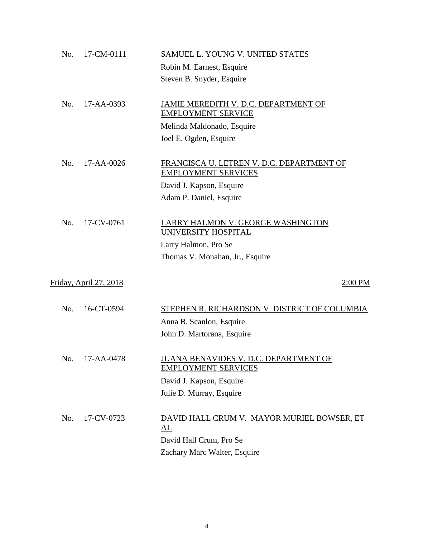| No. | 17-CM-0111                    | SAMUEL L. YOUNG V. UNITED STATES                                  |
|-----|-------------------------------|-------------------------------------------------------------------|
|     |                               | Robin M. Earnest, Esquire                                         |
|     |                               | Steven B. Snyder, Esquire                                         |
|     |                               |                                                                   |
| No. | 17-AA-0393                    | JAMIE MEREDITH V. D.C. DEPARTMENT OF<br><b>EMPLOYMENT SERVICE</b> |
|     |                               | Melinda Maldonado, Esquire                                        |
|     |                               |                                                                   |
|     |                               | Joel E. Ogden, Esquire                                            |
| No. | 17-AA-0026                    | <u>FRANCISCA U. LETREN V. D.C. DEPARTMENT OF</u>                  |
|     |                               | <b>EMPLOYMENT SERVICES</b>                                        |
|     |                               | David J. Kapson, Esquire                                          |
|     |                               | Adam P. Daniel, Esquire                                           |
|     |                               |                                                                   |
| No. | 17-CV-0761                    | LARRY HALMON V. GEORGE WASHINGTON<br>UNIVERSITY HOSPITAL          |
|     |                               | Larry Halmon, Pro Se                                              |
|     |                               | Thomas V. Monahan, Jr., Esquire                                   |
|     |                               |                                                                   |
|     | <u>Friday, April 27, 2018</u> | $2:00$ PM                                                         |
|     |                               |                                                                   |
| No. | 16-CT-0594                    | STEPHEN R. RICHARDSON V. DISTRICT OF COLUMBIA                     |
|     |                               | Anna B. Scanlon, Esquire                                          |
|     |                               | John D. Martorana, Esquire                                        |
| No. | 17-AA-0478                    | <b>JUANA BENAVIDES V. D.C. DEPARTMENT OF</b>                      |
|     |                               | <b>EMPLOYMENT SERVICES</b>                                        |
|     |                               | David J. Kapson, Esquire                                          |
|     |                               | Julie D. Murray, Esquire                                          |
|     |                               |                                                                   |
| No. | 17-CV-0723                    | DAVID HALL CRUM V. MAYOR MURIEL BOWSER, ET                        |
|     |                               | $\Delta L$                                                        |
|     |                               | David Hall Crum, Pro Se                                           |
|     |                               | Zachary Marc Walter, Esquire                                      |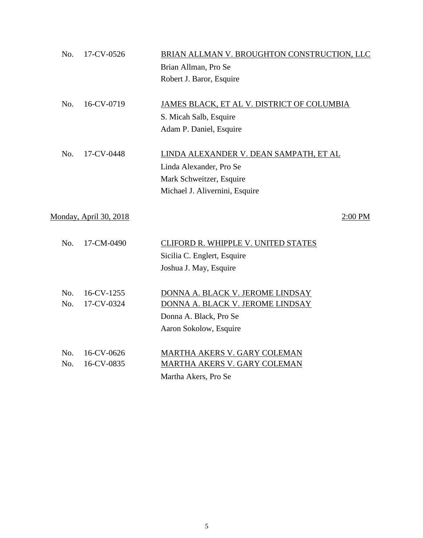| No. | 17-CV-0526             | BRIAN ALLMAN V. BROUGHTON CONSTRUCTION, LLC |
|-----|------------------------|---------------------------------------------|
|     |                        | Brian Allman, Pro Se                        |
|     |                        | Robert J. Baror, Esquire                    |
|     |                        |                                             |
| No. | 16-CV-0719             | JAMES BLACK, ET AL V. DISTRICT OF COLUMBIA  |
|     |                        | S. Micah Salb, Esquire                      |
|     |                        | Adam P. Daniel, Esquire                     |
|     |                        |                                             |
| No. | 17-CV-0448             | LINDA ALEXANDER V. DEAN SAMPATH, ET AL      |
|     |                        | Linda Alexander, Pro Se                     |
|     |                        | Mark Schweitzer, Esquire                    |
|     |                        | Michael J. Alivernini, Esquire              |
|     | Monday, April 30, 2018 | 2:00 PM                                     |
|     |                        |                                             |
| No. | 17-CM-0490             | CLIFORD R. WHIPPLE V. UNITED STATES         |
|     |                        | Sicilia C. Englert, Esquire                 |
|     |                        | Joshua J. May, Esquire                      |
|     |                        |                                             |
| No. | 16-CV-1255             | DONNA A. BLACK V. JEROME LINDSAY            |
| No. | 17-CV-0324             | DONNA A. BLACK V. JEROME LINDSAY            |
|     |                        | Donna A. Black, Pro Se                      |
|     |                        | Aaron Sokolow, Esquire                      |
| No. | 16-CV-0626             | MARTHA AKERS V. GARY COLEMAN                |
| No. | 16-CV-0835             | <b>MARTHA AKERS V. GARY COLEMAN</b>         |
|     |                        | Martha Akers, Pro Se                        |